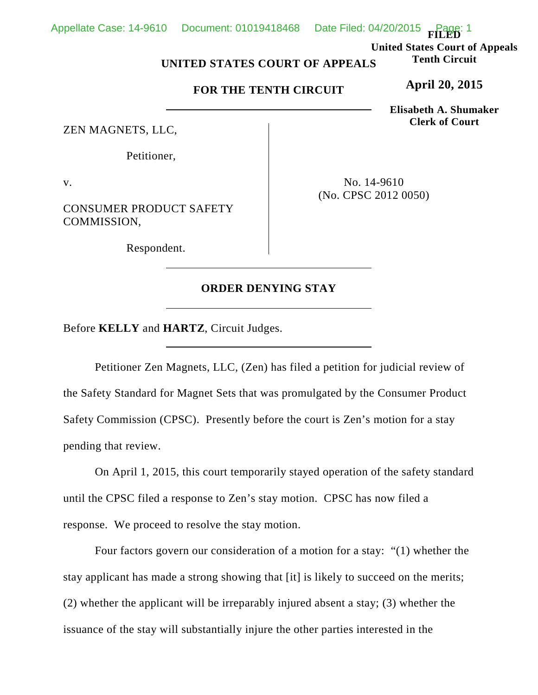**FILED**

**United States Court of Appeals Tenth Circuit**

## **UNITED STATES COURT OF APPEALS**

## **FOR THE TENTH CIRCUIT**

ZEN MAGNETS, LLC,

Petitioner,

v.

CONSUMER PRODUCT SAFETY COMMISSION,

Respondent.

No. 14-9610 (No. CPSC 2012 0050)

## **ORDER DENYING STAY**

Before **KELLY** and **HARTZ**, Circuit Judges.

Petitioner Zen Magnets, LLC, (Zen) has filed a petition for judicial review of the Safety Standard for Magnet Sets that was promulgated by the Consumer Product Safety Commission (CPSC). Presently before the court is Zen's motion for a stay pending that review.

On April 1, 2015, this court temporarily stayed operation of the safety standard until the CPSC filed a response to Zen's stay motion. CPSC has now filed a response. We proceed to resolve the stay motion.

Four factors govern our consideration of a motion for a stay: "(1) whether the stay applicant has made a strong showing that [it] is likely to succeed on the merits; (2) whether the applicant will be irreparably injured absent a stay; (3) whether the issuance of the stay will substantially injure the other parties interested in the

**April 20, 2015**

**Elisabeth A. Shumaker Clerk of Court**